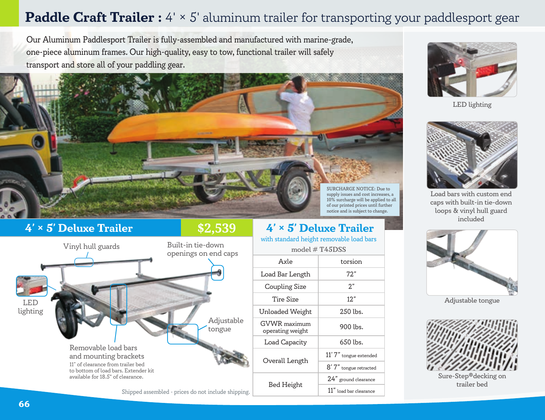# **Paddle Craft Trailer :**  $4' \times 5'$  aluminum trailer for transporting your paddlesport gear

Our Aluminum Paddlesport Trailer is fully-assembled and manufactured with marine-grade, one-piece aluminum frames. Our high-quality, easy to tow, functional trailer will safely transport and store all of your paddling gear.



# **4' × 5' Deluxe Trailer 19.4' × 5' Deluxe Trailer**

## **\$2,539**



with standard height removable load bars model  $#$  T45DSS

| Axle                                    | torsion                |
|-----------------------------------------|------------------------|
| Load Bar Length                         | 72"                    |
| Coupling Size                           | 2"                     |
| Tire Size                               | $12.$ "                |
| Unloaded Weight                         | $250$ lbs.             |
| <b>GVWR</b> maximum<br>operating weight | $900$ lbs.             |
| Load Capacity                           | $650$ lbs.             |
| Overall Length                          | 11' 7" tongue extended |
|                                         | 8' 7" tongue retracted |
| Bed Height                              | 24" ground clearance   |
|                                         | 11" load bar clearance |
|                                         |                        |



LED lighting



Load bars with custom end caps with built-in tie-down loops & vinyl hull guard included



Adjustable tongue



Sure-Step®decking on trailer bed